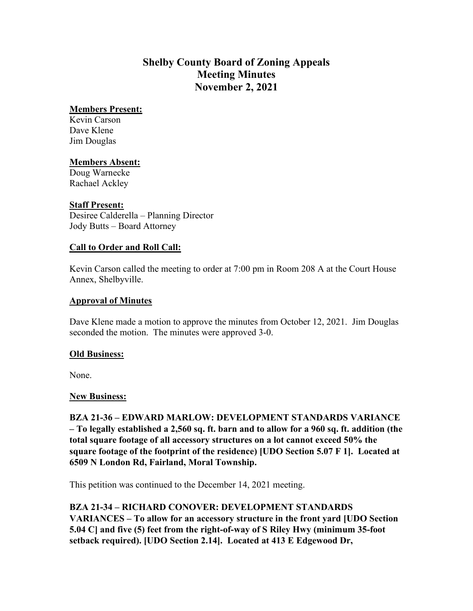# **Shelby County Board of Zoning Appeals Meeting Minutes November 2, 2021**

## **Members Present:**

Kevin Carson Dave Klene Jim Douglas

## **Members Absent:**

Doug Warnecke Rachael Ackley

## **Staff Present:**

Desiree Calderella – Planning Director Jody Butts – Board Attorney

## **Call to Order and Roll Call:**

Kevin Carson called the meeting to order at 7:00 pm in Room 208 A at the Court House Annex, Shelbyville.

## **Approval of Minutes**

Dave Klene made a motion to approve the minutes from October 12, 2021. Jim Douglas seconded the motion. The minutes were approved 3-0.

#### **Old Business:**

None.

#### **New Business:**

**BZA 21-36 – EDWARD MARLOW: DEVELOPMENT STANDARDS VARIANCE – To legally established a 2,560 sq. ft. barn and to allow for a 960 sq. ft. addition (the total square footage of all accessory structures on a lot cannot exceed 50% the square footage of the footprint of the residence) [UDO Section 5.07 F 1]. Located at 6509 N London Rd, Fairland, Moral Township.**

This petition was continued to the December 14, 2021 meeting.

**BZA 21-34 – RICHARD CONOVER: DEVELOPMENT STANDARDS VARIANCES – To allow for an accessory structure in the front yard [UDO Section 5.04 C] and five (5) feet from the right-of-way of S Riley Hwy (minimum 35-foot setback required). [UDO Section 2.14]. Located at 413 E Edgewood Dr,**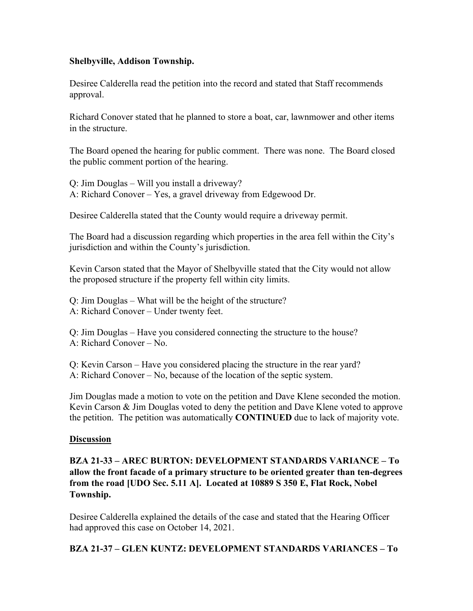## **Shelbyville, Addison Township.**

Desiree Calderella read the petition into the record and stated that Staff recommends approval.

Richard Conover stated that he planned to store a boat, car, lawnmower and other items in the structure.

The Board opened the hearing for public comment. There was none. The Board closed the public comment portion of the hearing.

Q: Jim Douglas – Will you install a driveway? A: Richard Conover – Yes, a gravel driveway from Edgewood Dr.

Desiree Calderella stated that the County would require a driveway permit.

The Board had a discussion regarding which properties in the area fell within the City's jurisdiction and within the County's jurisdiction.

Kevin Carson stated that the Mayor of Shelbyville stated that the City would not allow the proposed structure if the property fell within city limits.

Q: Jim Douglas – What will be the height of the structure? A: Richard Conover – Under twenty feet.

Q: Jim Douglas – Have you considered connecting the structure to the house? A: Richard Conover – No.

Q: Kevin Carson – Have you considered placing the structure in the rear yard? A: Richard Conover – No, because of the location of the septic system.

Jim Douglas made a motion to vote on the petition and Dave Klene seconded the motion. Kevin Carson & Jim Douglas voted to deny the petition and Dave Klene voted to approve the petition. The petition was automatically **CONTINUED** due to lack of majority vote.

## **Discussion**

**BZA 21-33 – AREC BURTON: DEVELOPMENT STANDARDS VARIANCE – To allow the front facade of a primary structure to be oriented greater than ten-degrees from the road [UDO Sec. 5.11 A]. Located at 10889 S 350 E, Flat Rock, Nobel Township.**

Desiree Calderella explained the details of the case and stated that the Hearing Officer had approved this case on October 14, 2021.

## **BZA 21-37 – GLEN KUNTZ: DEVELOPMENT STANDARDS VARIANCES – To**